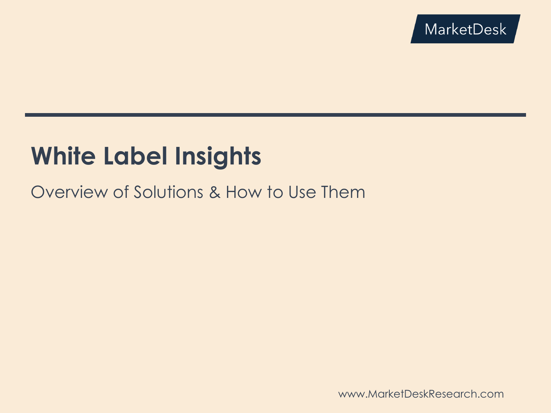# **White Label Insights**

Overview of Solutions & How to Use Them

www.MarketDeskResearch.com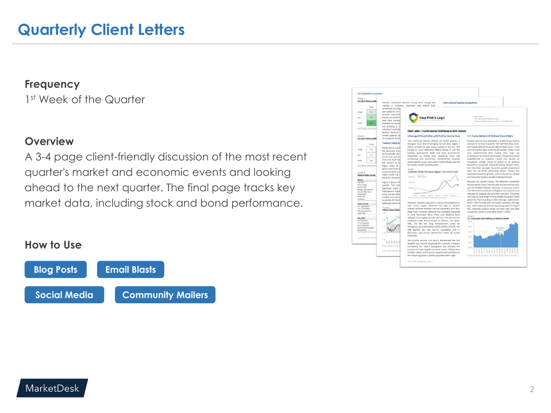1st Week of the Quarter

### **Overview**

A 3-4 page client-friendly discussion of the most recent quarter's market and economic events and looking ahead to the next quarter. The final page tracks key market data, including stock and bond performance.

### **How to Use**



| noute 4                          | U.S. Style Returns (4Q)    |                              |                                                                                            |                                                               |
|----------------------------------|----------------------------|------------------------------|--------------------------------------------------------------------------------------------|---------------------------------------------------------------|
|                                  |                            |                              | Investor sentiment remains strong even though the<br>International Equities Outperform     |                                                               |
|                                  | Volue                      |                              | outlook is uncertain. DoorDash and Airbnb both<br>the home and he work countries he has no | a care at the bear                                            |
|                                  |                            | completed successf           |                                                                                            |                                                               |
| Lorge                            | 16.2                       | was added to the             |                                                                                            |                                                               |
|                                  |                            | purpose acquisition          |                                                                                            |                                                               |
| Mo                               | 20.5                       | money via an IPO til         | <b>Your Firm's Logo</b>                                                                    | John Smith<br>123 Main Street, Smithville, USA                |
|                                  |                            | later date, continui         |                                                                                            | E: john smith@mainstreet.com   P: 123-856-7890                |
| <b>Smoll</b>                     | in a                       | investors are nervol         |                                                                                            |                                                               |
|                                  |                            | not showing it. I            |                                                                                            |                                                               |
|                                  | Coto Federik Most Kez      | valuations and take          |                                                                                            |                                                               |
|                                  |                            | Federal Reserve's            | Client Letter   Fourth Quarter 2020 Recap & 2021 Outlook                                   |                                                               |
| <b>ROUND &amp;</b>               |                            | market appears coll          | A Resurgent Virus Collides with Positive Vaccine Data                                      | U.S. Equity Markets Hit Multiple Record Highs                 |
|                                  | U.S. Style Returns (202)   | in to support the ed         |                                                                                            |                                                               |
|                                  |                            |                              | Two conflicting themes defined the fourth quarter: a                                       | Positive vaccine data unleashed a powerful pro-cyclical       |
|                                  | Volve                      | <b>Treasury Yields &amp;</b> | resurgent virus and encouraging vaccine data. Figure 1                                     | rotation in the fourth quarter. The S&P 500, Dow Jones,       |
|                                  |                            |                              | shows coronavirus case counts spiked in the U.S. and                                       | and Russell 2000 all hit record highs multiple times. Trend   |
| Loros                            | 0.9                        | While treasury vield         | Europe as social distancing fatigue kicked in and the                                      | reversal was the story in the fourth quarter. Riskier small   |
|                                  |                            | the dominant them            | holidays approached. State and local governments                                           | caps outperformed after trailing their large cap              |
| Mid                              | 25%                        | be historically low          | responded by dialing back reopening plans and                                              | counterparts for most of the recovery. Cheap value stocks     |
|                                  |                            | for income and sea           | introducing new restrictions. Overwhelmed hospitals                                        | outperformed as investors rushed into beaten up               |
| Smooth                           | 26                         | trials and push tow          | faced capacity issues, and public health officials warned                                  | companies. Energy (rising oil prices as oil demand            |
|                                  |                            | the comfort to inc           | the winter months would be dark.                                                           |                                                               |
|                                  | Data felix to Mail Rece    | higher yields. As a          |                                                                                            | projections increased). Financials (rising interest rates).   |
|                                  |                            | which tend to be rit         | HOURE I                                                                                    | and Industrials (stronger economic growth projections)        |
| <b>BUSINE, SB</b>                |                            | corporate debt and           | Confirmed COVID-19 Cases by Region (7 day moving overage)                                  | were the top three performing sectors. Sectors less           |
|                                  | <b>Market Data Center</b>  | higher credit risk of        | $-14$                                                                                      | exposed to economic growth, such as Real Estate, Utilities    |
|                                  |                            | Reserve's accommo            | 333,000<br>$-$ Lynce                                                                       | and Consumer Staples, broadly underperformed.                 |
| Stocks                           |                            |                              |                                                                                            | Beneath the market surface, the dominant investment           |
| S&P 500                          |                            | Figure 3 shows infl.         | 200,000                                                                                    | themes remain intact, Interest rates are pinned near zero.    |
| Dow Jones<br>Russell 2000        |                            | quarter. The com-            |                                                                                            |                                                               |
|                                  | Russell 1000 Growth.       | significant fiscal i         | 100,000                                                                                    | and the Federal Reserve continues to purchase bonds.          |
| Russell 1000 Volue               |                            | expectations higher          |                                                                                            | The two monetary policies are highly accommodative and        |
| M SCI FARE                       |                            | thing, but too little        | n<br>3.600<br>ALC 20<br>Sep-20 Oct-20 Nov-20 Dec-20                                        | intended to support the economic recovery. Corporate          |
| MACT FM<br><b><i>BASDAG</i></b>  |                            | markets are correct          | Drumer Moyke (Deal Amarginty, World Health Organization                                    | earnings are surprisingly strong despite the global health    |
|                                  |                            | could sell off. The F        |                                                                                            | pandemic. There is a chance 2021 earnings could be even       |
| <b>Reed Income</b>               |                            | tightrope and will b         | Investors' attention focused on vaccine development as                                     | better than forecast with increased operating leverage        |
| U.S. Aggregate                   |                            | <b>ROUBE 3</b>               | case counts surged. Optimism was high as markets                                           | (e.g., lower expenses with strong sales growth). On top of    |
| U.S. Corporates                  |                            | Infiation Expectation        | intently watched multiple vaccine candidates start late-                                   | this, corporate balance sheets are flush with cash after      |
| Municipals (10 yr)<br>High Yield |                            | $\epsilon$                   | stage trials. Investors' optimism was ultimately rewarded                                  | companies rushed to issue debt earlier in 2020.               |
|                                  |                            |                              | in early November when Pfizer and Moderna both                                             | Automobile 19                                                 |
| <b>Key Rotes</b>                 |                            |                              | released encouraging vaccine trial data. The two vaccine                                   | U.S. Corporate Cash Holdings on Balance Sheets                |
| 3 or Tracycurian                 |                            | $\lambda$                    | candidates each demonstrated an efficacy rate above                                        | $122$ In                                                      |
| 10 yr Trecruries                 |                            |                              | 90%, and the two drug manufacturers asked for                                              |                                                               |
| 30 yr frequentes                 | 30 yr Read Mortgoga        | $\rightarrow$                | emergency use authorization (EUA) within a month. The                                      | \$30.54                                                       |
| Prime Rote                       |                            |                              | FDA granted the two vaccine candidates EUA in                                              | <b>2000 AASKet</b><br><b>Birding</b>                          |
|                                  | Dalp Reling to Most thrown | $\infty$                     | December, and vaccine distribution kicked off shortly                                      | \$16.54                                                       |
|                                  |                            |                              | thereafter.                                                                                |                                                               |
|                                  | Insert Your Disdosures     |                              |                                                                                            | \$14.54                                                       |
|                                  |                            | 56                           | The positive vaccine trial results represented the first                                   | \$14.56                                                       |
|                                  |                            |                              | tangible step toward reopening the economy, investors                                      |                                                               |
|                                  |                            | Source: MarketOral Arne      | overlooked the virus's resurgence and cheered the                                          | \$12.5 <sub>n</sub>                                           |
|                                  |                            |                              | prospect of reopening the economy sooner. Global stock                                     |                                                               |
|                                  |                            | Insert Your Disclosure       | markets rallied, and investors repositioned portfolios as                                  |                                                               |
|                                  |                            |                              | the recoening phase suddenly appeared within sight.                                        | Source: Attred Ond Research, Note: Data based on SAP 500 com- |
|                                  |                            |                              |                                                                                            |                                                               |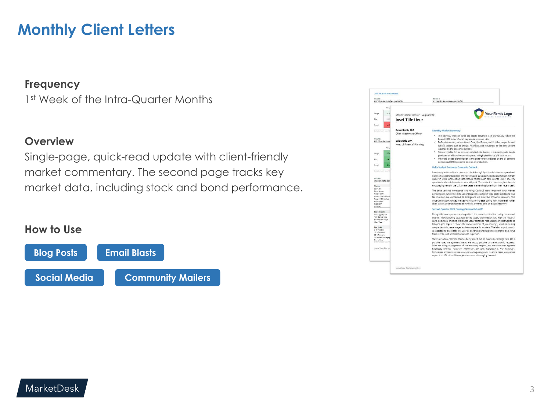1<sup>st</sup> Week of the Intra-Quarter Months

### **Overview**

Single-page, quick-read update with client-friendly market commentary. The second page tracks key market data, including stock and bond performance.

### **How to Use**



| FIGURE 1<br>U.S. Siyle Refurns (Augustin %)                                                                                                         | HOURE2<br>U.S. Sector Returns (August in %)                                                                                                                                                                                                                                                                                                                                                                                                                                                                                                                                                                                                                                                    |
|-----------------------------------------------------------------------------------------------------------------------------------------------------|------------------------------------------------------------------------------------------------------------------------------------------------------------------------------------------------------------------------------------------------------------------------------------------------------------------------------------------------------------------------------------------------------------------------------------------------------------------------------------------------------------------------------------------------------------------------------------------------------------------------------------------------------------------------------------------------|
| Volu<br>0.4<br>$-0.1$<br>46<br>Susan Smith, CFA<br>Dot a Fellech Most A                                                                             | Your Firm's Logo<br>Monthly Client Update   August 2021<br><b>Inset Title Here</b><br>Monthly Market Summary<br>Chief Investment Officer                                                                                                                                                                                                                                                                                                                                                                                                                                                                                                                                                       |
| <b>Bob Smith, CPA</b><br>U.S. Style Reforms<br>Volu<br>67.<br><b>TO</b>                                                                             | . The S&P 500 Index of large cap stocks returned 2.4% during July, while the<br>Russell 2000 Index of small cap stocks returned -4%.<br>" Defensive sectors, such as Health Care, Real Estate, and Utilities, outperformed<br>Head of Financial Planning<br>cyclical sectors, such as Energy, Financials, and Industrials, as the delta variant<br>weighed on the economic outlook.<br>. Treasury yields fell as investors rotated into bonds. Investment grade bonds<br>produced an x% total return compared to high vield bonds' v% total return.<br>" Oil prices traded slightly lower as the delta variant weighed on the oil demand<br>outlook and OPEC prepared to raise oil production. |
| 20.<br>Dot a Febricity Most N<br>nouse s<br>Market Data Cen                                                                                         | Delta Variant Pressures Economic Outlook<br>Investors questioned the economic outlook during July as the delta variant spread and<br>Covid-19 case counts spiked. The rise in Covid-19 cases marked a dramatic shift from<br>earlier in 2021 when rising vaccinations helped push case counts lower. The key<br>question is when delta variant cases will peak. The outlook is uncertain, but there is<br>encouraging news in the U.K. where cases are trending lower from their recent peak.                                                                                                                                                                                                  |
| 008933<br>Dow Jones<br>Pugge1 2000<br>Russell 1000 Growth<br>Sugar 1000 Volum<br><b>MCIEAFE</b><br><b>MCIBA</b><br><b>DA 02 AV</b>                  | The delta variant's emergence and rising Covid-19 cases impacted stock market<br>performance. While the delta variant has not resulted in wide-scale lockdowns thus<br>far, investors are concerned its emergence will slow the economic recovery. The<br>uncertain outlook caused market volatility to increase during July. In general, riskier<br>asset classes underperformed as investors trimmed bets on a rapid recovery.                                                                                                                                                                                                                                                               |
|                                                                                                                                                     | Second Quarter 2021 Earnings Season Kicks Off                                                                                                                                                                                                                                                                                                                                                                                                                                                                                                                                                                                                                                                  |
| <b>Fixed Income</b><br>US. Aggregate<br>US. Corporates<br>(V 01) SogbinAl<br>Mah Yield<br>Key Rales<br>i v Treosuri<br>O yr Teosury<br>Our Treasury | Rising inflationary pressures also grabbed the market's attention during the second<br>quarter. Manufacturing costs rose due to supply chain bottlenecks, high raw material<br>costs, and global shipping challenges. Labor costs also rose as companies struggled to<br>fill open jobs. Figure 1 shows the record number of job openings, which is causing<br>companies to increase wages as they compete for workers. The labor supply crunch<br>is expected to ease later this year as enhanced unemployment benefits end, virus<br>fears recede, and schooling returns to in-person.                                                                                                       |
| 0 yr Rued I Jortgog<br>Prime Rote<br>nsert Your Disclos                                                                                             | There are a few common themes being called out on quarterly earnings calls. On a<br>positive note, management teams are mostly positive on the economic recovery.<br>Sales are rising as segments of the economy reopen, and the consumer appears                                                                                                                                                                                                                                                                                                                                                                                                                                              |
|                                                                                                                                                     | financially healthy. However, companies are also discussing a few negatives.<br>Companies across industries are experiencing rising costs. In some cases, companies<br>report it is difficult to fill open jobs and meet the surging demand.                                                                                                                                                                                                                                                                                                                                                                                                                                                   |
| Insert Your Disclosures Here                                                                                                                        |                                                                                                                                                                                                                                                                                                                                                                                                                                                                                                                                                                                                                                                                                                |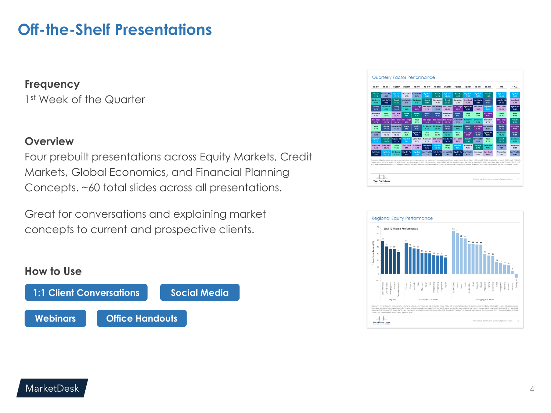1st Week of the Quarter

### **Overview**

Four prebuilt presentations across Equity Markets, Credit Markets, Global Economics, and Financial Planning Concepts. ~60 total slides across all presentations.

Great for conversations and explaining market concepts to current and prospective clients.





### **How to Use**

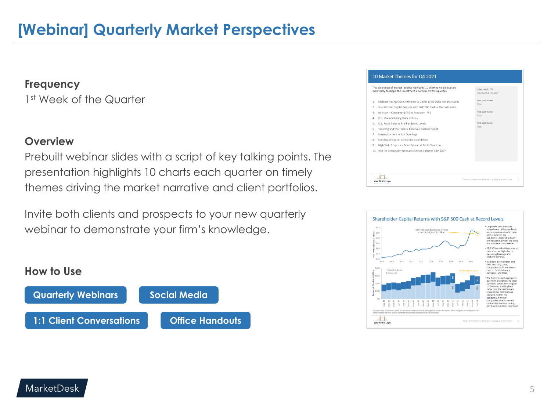## **[Webinar] Quarterly Market Perspectives**

### **Frequency**

1st Week of the Quarter

### **Overview**

Prebuilt webinar slides with a script of key talking points. The presentation highlights 10 charts each quarter on timely themes driving the market narrative and client portfolios.

Invite both clients and prospects to your new quarterly webinar to demonstrate your firm's knowledge.



#### 10 Market Themes for Q4 2021



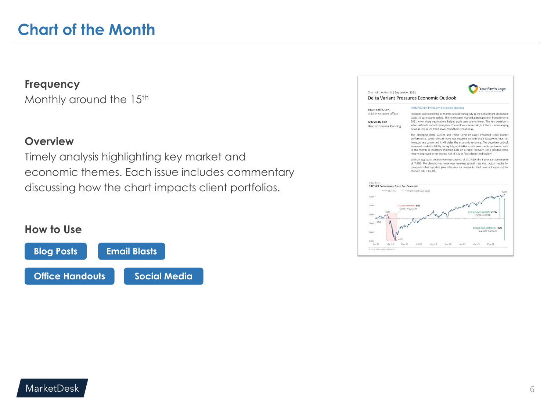Monthly around the 15<sup>th</sup>

### **Overview**

Timely analysis highlighting key market and economic themes. Each issue includes commentary discussing how the chart impacts client portfolios.

### **How to Use**



|                                                                                 | Chart of the Month   September 2021 |                                                                                                                                                                                                                                                                                                                                                                                                                         |  |  |                                                     |                                                                                                                                                                                                                                                                                                                                                                                                                                    |
|---------------------------------------------------------------------------------|-------------------------------------|-------------------------------------------------------------------------------------------------------------------------------------------------------------------------------------------------------------------------------------------------------------------------------------------------------------------------------------------------------------------------------------------------------------------------|--|--|-----------------------------------------------------|------------------------------------------------------------------------------------------------------------------------------------------------------------------------------------------------------------------------------------------------------------------------------------------------------------------------------------------------------------------------------------------------------------------------------------|
| Delta Variant Pressures Economic Outlook                                        |                                     |                                                                                                                                                                                                                                                                                                                                                                                                                         |  |  |                                                     |                                                                                                                                                                                                                                                                                                                                                                                                                                    |
| Susan Smith, CFA                                                                |                                     | Delta Variant Pressures Economic Outlook                                                                                                                                                                                                                                                                                                                                                                                |  |  |                                                     |                                                                                                                                                                                                                                                                                                                                                                                                                                    |
| Chief Investment Officer<br><b>Bob Smith, CPA</b><br>Head of Financial Planning |                                     | Investors questioned the economic outlook during July as the delta variant spread and<br>Covid-19 case counts spiked. The rise in cases marked a dramatic shift from earlier in<br>2021 when rising vaccinations helped push case counts lower. The key question is<br>when will delta variant cases peak. The outlook is uncertain, but there is encouraging<br>news as U.K. cases trend lower from their recent peak. |  |  |                                                     |                                                                                                                                                                                                                                                                                                                                                                                                                                    |
|                                                                                 |                                     | returns improved in the second half of July as fears diminished slightly.                                                                                                                                                                                                                                                                                                                                               |  |  |                                                     | The emerging delta variant and rising Covid-19 cases impacted stock market<br>performance. While officials have not resorted to wide-scale lockdowns thus far,<br>investors are concerned it will delay the economic recovery. The uncertain outlook<br>increased market volatility during July, and riskier asset classes underperformed early<br>in the month as investors trimmed bets on a rapid recovery. On a positive note, |
|                                                                                 |                                     | companies that reported plus estimates for companies that have not reported) for                                                                                                                                                                                                                                                                                                                                        |  |  |                                                     | With an aggregate positive earnings surprise of 17.2% (vs the 5-year average surprise<br>of 7.8%). The blended year-over-year earnings growth rate (i.e., actual results for                                                                                                                                                                                                                                                       |
|                                                                                 |                                     | the S&P 500 is 85.1%                                                                                                                                                                                                                                                                                                                                                                                                    |  |  |                                                     |                                                                                                                                                                                                                                                                                                                                                                                                                                    |
| FIGURE 4                                                                        |                                     |                                                                                                                                                                                                                                                                                                                                                                                                                         |  |  |                                                     |                                                                                                                                                                                                                                                                                                                                                                                                                                    |
| S&P 500 Performance Since Pre-Pandemic<br>$-58950$                              | ------ Beginning of 2020 Level      |                                                                                                                                                                                                                                                                                                                                                                                                                         |  |  |                                                     |                                                                                                                                                                                                                                                                                                                                                                                                                                    |
| 4200<br>3800                                                                    | 2020 Drawdown: - 34%                |                                                                                                                                                                                                                                                                                                                                                                                                                         |  |  |                                                     | 4298                                                                                                                                                                                                                                                                                                                                                                                                                               |
| 3386<br>3400                                                                    | $(2/19/20 - 3/23/20)$               |                                                                                                                                                                                                                                                                                                                                                                                                                         |  |  | Return Since Ian 2020: 432%<br>$(1/1/20 - 6/30/21)$ |                                                                                                                                                                                                                                                                                                                                                                                                                                    |
| 3231<br>3000                                                                    | تلكمهم                              |                                                                                                                                                                                                                                                                                                                                                                                                                         |  |  |                                                     | Return from 2020 Low: +92%                                                                                                                                                                                                                                                                                                                                                                                                         |
| 2600<br>2200                                                                    | 233                                 |                                                                                                                                                                                                                                                                                                                                                                                                                         |  |  |                                                     | $(3/23/20 - 6/30/21)$                                                                                                                                                                                                                                                                                                                                                                                                              |